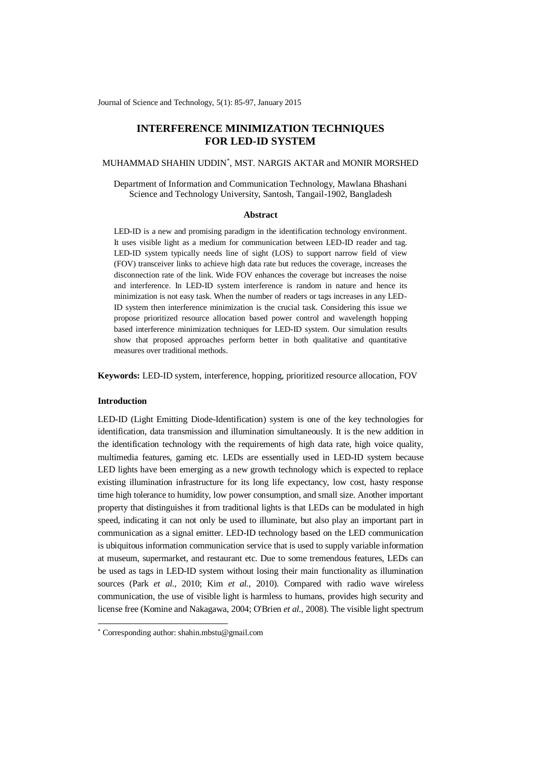Journal of Science and Technology, 5(1): 85-97, January 2015

# **INTERFERENCE MINIMIZATION TECHNIQUES FOR LED-ID SYSTEM**

## MUHAMMAD SHAHIN UDDIN\* , MST. NARGIS AKTAR and MONIR MORSHED

Department of Information and Communication Technology, Mawlana Bhashani Science and Technology University, Santosh, Tangail-1902, Bangladesh

#### **Abstract**

LED-ID is a new and promising paradigm in the identification technology environment. It uses visible light as a medium for communication between LED-ID reader and tag. LED-ID system typically needs line of sight (LOS) to support narrow field of view (FOV) transceiver links to achieve high data rate but reduces the coverage, increases the disconnection rate of the link. Wide FOV enhances the coverage but increases the noise and interference. In LED-ID system interference is random in nature and hence its minimization is not easy task. When the number of readers or tags increases in any LED-ID system then interference minimization is the crucial task. Considering this issue we propose prioritized resource allocation based power control and wavelength hopping based interference minimization techniques for LED-ID system. Our simulation results show that proposed approaches perform better in both qualitative and quantitative measures over traditional methods.

**Keywords:** LED-ID system, interference, hopping, prioritized resource allocation, FOV

## **Introduction**

-

LED-ID (Light Emitting Diode-Identification) system is one of the key technologies for identification, data transmission and illumination simultaneously. It is the new addition in the identification technology with the requirements of high data rate, high voice quality, multimedia features, gaming etc. LEDs are essentially used in LED-ID system because LED lights have been emerging as a new growth technology which is expected to replace existing illumination infrastructure for its long life expectancy, low cost, hasty response time high tolerance to humidity, low power consumption, and small size. Another important property that distinguishes it from traditional lights is that LEDs can be modulated in high speed, indicating it can not only be used to illuminate, but also play an important part in communication as a signal emitter. LED-ID technology based on the LED communication is ubiquitous information communication service that is used to supply variable information at museum, supermarket, and restaurant etc. Due to some tremendous features, LEDs can be used as tags in LED-ID system without losing their main functionality as illumination sources (Park *et al.*, 2010; Kim *et al.*, 2010). Compared with radio wave wireless communication, the use of visible light is harmless to humans, provides high security and license free (Komine and Nakagawa, 2004; O'Brien *et al.*, 2008). The visible light spectrum

<sup>\*</sup> Corresponding author[: shahin.mbstu@gmail.com](mailto:shahin.mbstu@gmail.com)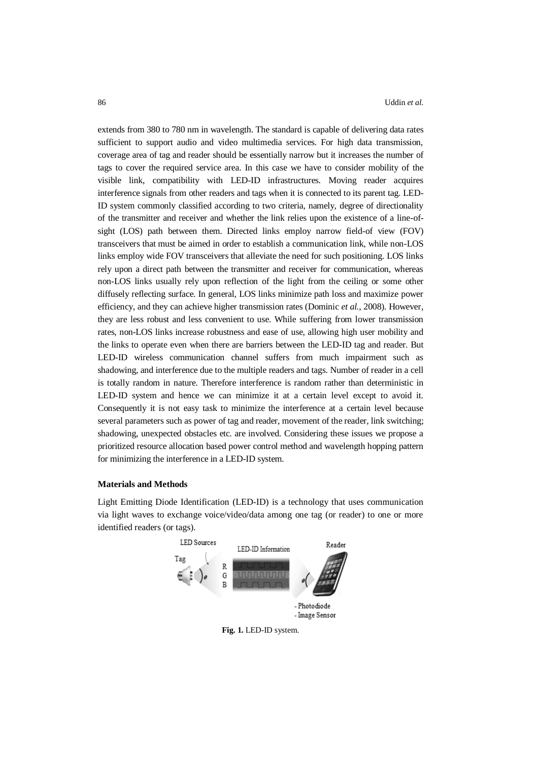extends from 380 to 780 nm in wavelength. The standard is capable of delivering data rates sufficient to support audio and video multimedia services. For high data transmission, coverage area of tag and reader should be essentially narrow but it increases the number of tags to cover the required service area. In this case we have to consider mobility of the visible link, compatibility with LED-ID infrastructures. Moving reader acquires interference signals from other readers and tags when it is connected to its parent tag. LED-ID system commonly classified according to two criteria, namely, degree of directionality of the transmitter and receiver and whether the link relies upon the existence of a line-ofsight (LOS) path between them. Directed links employ narrow field-of view (FOV) transceivers that must be aimed in order to establish a communication link, while non-LOS links employ wide FOV transceivers that alleviate the need for such positioning. LOS links rely upon a direct path between the transmitter and receiver for communication, whereas non-LOS links usually rely upon reflection of the light from the ceiling or some other diffusely reflecting surface. In general, LOS links minimize path loss and maximize power efficiency, and they can achieve higher transmission rates (Dominic *et al.*, 2008). However, they are less robust and less convenient to use. While suffering from lower transmission rates, non-LOS links increase robustness and ease of use, allowing high user mobility and the links to operate even when there are barriers between the LED-ID tag and reader. But LED-ID wireless communication channel suffers from much impairment such as shadowing, and interference due to the multiple readers and tags. Number of reader in a cell is totally random in nature. Therefore interference is random rather than deterministic in LED-ID system and hence we can minimize it at a certain level except to avoid it. Consequently it is not easy task to minimize the interference at a certain level because several parameters such as power of tag and reader, movement of the reader, link switching; shadowing, unexpected obstacles etc. are involved. Considering these issues we propose a prioritized resource allocation based power control method and wavelength hopping pattern for minimizing the interference in a LED-ID system.

#### **Materials and Methods**

Light Emitting Diode Identification (LED-ID) is a technology that uses communication via light waves to exchange voice/video/data among one tag (or reader) to one or more identified readers (or tags).



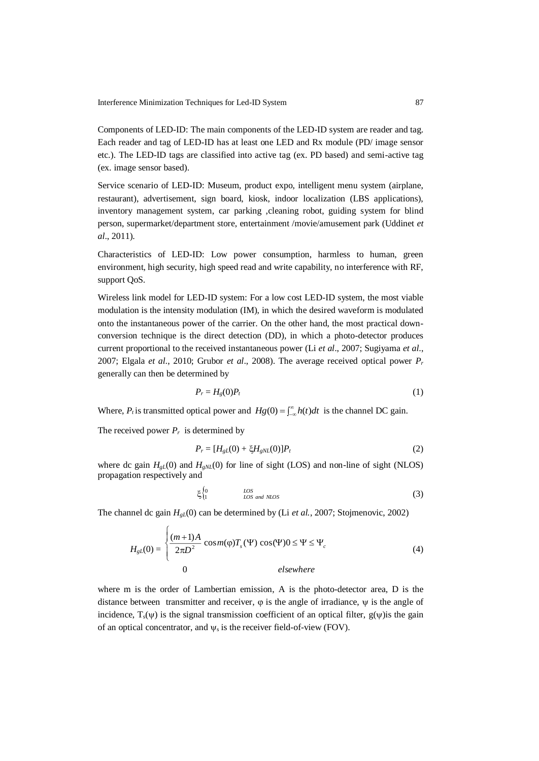Components of LED-ID: The main components of the LED-ID system are reader and tag. Each reader and tag of LED-ID has at least one LED and Rx module (PD/ image sensor etc.). The LED-ID tags are classified into active tag (ex. PD based) and semi-active tag (ex. image sensor based).

Service scenario of LED-ID: Museum, product expo, intelligent menu system (airplane, restaurant), advertisement, sign board, kiosk, indoor localization (LBS applications), inventory management system, car parking ,cleaning robot, guiding system for blind person, supermarket/department store, entertainment /movie/amusement park (Uddinet *et al*., 2011).

Characteristics of LED-ID: Low power consumption, harmless to human, green environment, high security, high speed read and write capability, no interference with RF, support QoS.

Wireless link model for LED-ID system: For a low cost LED-ID system, the most viable modulation is the intensity modulation (IM), in which the desired waveform is modulated onto the instantaneous power of the carrier. On the other hand, the most practical downconversion technique is the direct detection (DD), in which a photo-detector produces current proportional to the received instantaneous power (Li *et al*., 2007; Sugiyama *et al*., 2007; Elgala *et al*., 2010; Grubor *et al*., 2008). The average received optical power *P<sup>r</sup>* generally can then be determined by

$$
P_r = H_g(0)P_t \tag{1}
$$

Where,  $P_t$  is transmitted optical power and  $H_g(0) = \int_{-\infty}^{\infty} h(t) dt$  is the channel DC gain.

The received power  $P_r$  is determined by

$$
P_r = [H_{gL}(0) + \xi H_{gNL}(0)]P_t
$$
\n(2)

where dc gain  $H_{gL}(0)$  and  $H_{gNL}(0)$  for line of sight (LOS) and non-line of sight (NLOS) propagation respectively and

$$
\xi_{1}^{0} \qquad \qquad \text{LOS} \qquad \text{LOS} \qquad \text{(3)}
$$

The channel dc gain *HgL*(0) can be determined by (Li *et al.*, 2007; Stojmenovic, 2002)

$$
H_{gL}(0) = \begin{cases} \frac{(m+1)A}{2\pi D^2} \cos m(\varphi) T_s(\Psi) \cos(\Psi) 0 \le \Psi \le \Psi_c\\ 0 \qquad \qquad else where \end{cases}
$$
 (4)

where m is the order of Lambertian emission, A is the photo-detector area, D is the distance between transmitter and receiver,  $\varphi$  is the angle of irradiance,  $\psi$  is the angle of incidence,  $T_s(\psi)$  is the signal transmission coefficient of an optical filter,  $g(\psi)$  is the gain of an optical concentrator, and  $\psi_s$  is the receiver field-of-view (FOV).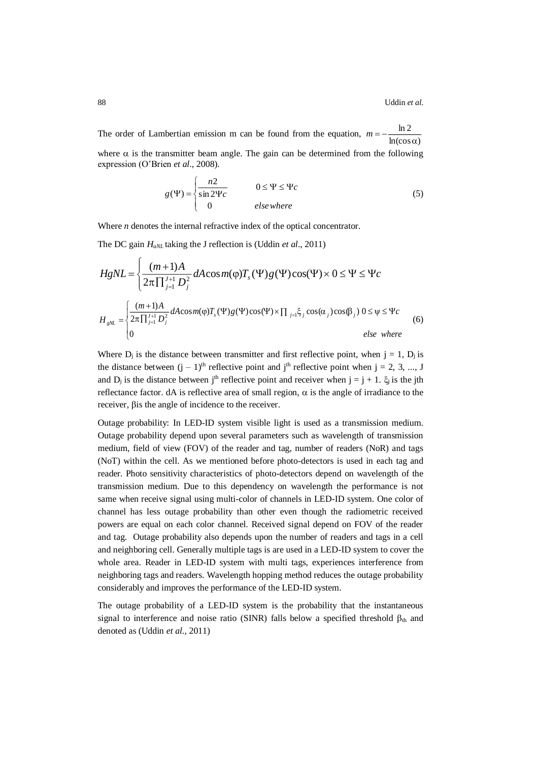The order of Lambertian emission m can be found from the equation,  $m =$  $ln(cos \alpha)$ ln 2 where  $\alpha$  is the transmitter beam angle. The gain can be determined from the following expression (O'Brien *et al*., 2008).

$$
g(\Psi) = \begin{cases} \frac{n2}{\sin 2\Psi c} & 0 \le \Psi \le \Psi c \\ 0 & \text{else where} \end{cases}
$$
 (5)

Where *n* denotes the internal refractive index of the optical concentrator.

The DC gain *HaNL* taking the J reflection is (Uddin *et al*., 2011)

$$
HgNL = \begin{cases} \frac{(m+1)A}{2\pi \prod_{j=1}^{J+1} D_j^2} dA \cos m(\varphi) T_s(\Psi) g(\Psi) \cos(\Psi) \times 0 \le \Psi \le \Psi_c\\ \frac{(m+1)A}{2\pi \prod_{j=1}^{J+1} D_j^2} dA \cos m(\varphi) T_s(\Psi) g(\Psi) \cos(\Psi) \times \prod_{j=1}^{\infty} \xi_j \cos(\alpha_j) \cos(\beta_j) 0 \le \Psi \le \Psi_c\\ 0 & \text{else where} \end{cases} \tag{6}
$$

Where  $D_i$  is the distance between transmitter and first reflective point, when  $j = 1$ ,  $D_i$  is the distance between  $(j - 1)$ <sup>th</sup> reflective point and j<sup>th</sup> reflective point when  $j = 2, 3, ..., J$ and  $D_j$  is the distance between j<sup>th</sup> reflective point and receiver when  $j = j + 1$ .  $\xi_j$  is the jth reflectance factor. dA is reflective area of small region,  $\alpha$  is the angle of irradiance to the receiver,  $\beta$  is the angle of incidence to the receiver.

Outage probability: In LED-ID system visible light is used as a transmission medium. Outage probability depend upon several parameters such as wavelength of transmission medium, field of view (FOV) of the reader and tag, number of readers (NoR) and tags (NoT) within the cell. As we mentioned before photo-detectors is used in each tag and reader. Photo sensitivity characteristics of photo-detectors depend on wavelength of the transmission medium. Due to this dependency on wavelength the performance is not same when receive signal using multi-color of channels in LED-ID system. One color of channel has less outage probability than other even though the radiometric received powers are equal on each color channel. Received signal depend on FOV of the reader and tag. Outage probability also depends upon the number of readers and tags in a cell and neighboring cell. Generally multiple tags is are used in a LED-ID system to cover the whole area. Reader in LED-ID system with multi tags, experiences interference from neighboring tags and readers. Wavelength hopping method reduces the outage probability considerably and improves the performance of the LED-ID system.

The outage probability of a LED-ID system is the probability that the instantaneous signal to interference and noise ratio (SINR) falls below a specified threshold  $\beta_{th}$  and denoted as (Uddin *et al*., 2011)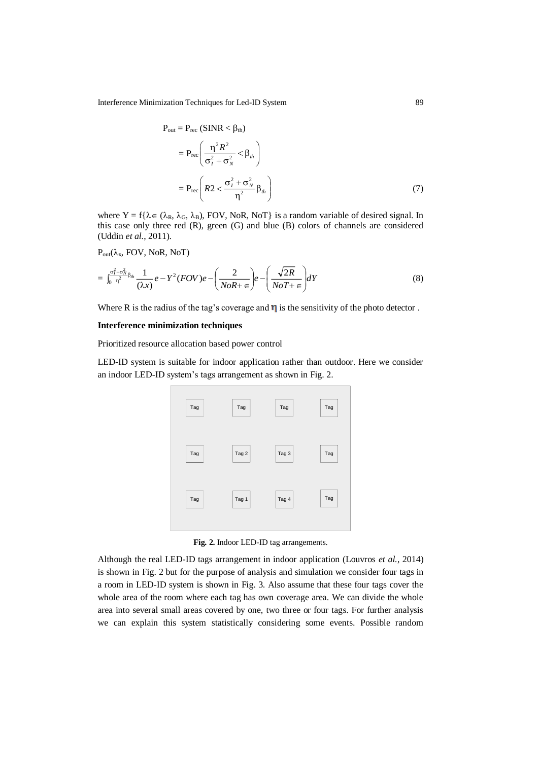Interference Minimization Techniques for Led-ID System 89

$$
P_{out} = P_{rec} (SINR < \beta_{th})
$$
  
= 
$$
P_{rec} \left( \frac{\eta^2 R^2}{\sigma_I^2 + \sigma_N^2} < \beta_{th} \right)
$$
  
= 
$$
P_{rec} \left( R2 < \frac{\sigma_I^2 + \sigma_N^2}{\eta^2} \beta_{th} \right)
$$
 (7)

where  $Y = f\{\lambda \in (\lambda_R, \lambda_G, \lambda_B), FOV, NoR, NoT\}$  is a random variable of desired signal. In this case only three red (R), green (G) and blue (B) colors of channels are considered (Uddin *et al.*, 2011).

 $P_{out}(\lambda_x, FOV, NoR, NoT)$ 

$$
= \int_0^{\frac{\sigma_f^2 + \sigma_M^2}{n^2} \beta_{th}} \frac{1}{(\lambda x)} e - Y^2 (FOV) e - \left( \frac{2}{NoR + \epsilon} \right) e - \left( \frac{\sqrt{2R}}{NoT + \epsilon} \right) dY \tag{8}
$$

Where R is the radius of the tag's coverage and  $\eta$  is the sensitivity of the photo detector.

## **Interference minimization techniques**

Prioritized resource allocation based power control

LED-ID system is suitable for indoor application rather than outdoor. Here we consider an indoor LED-ID system's tags arrangement as shown in Fig. 2.



**Fig. 2.** Indoor LED-ID tag arrangements.

Although the real LED-ID tags arrangement in indoor application (Louvros *et al.*, 2014) is shown in Fig. 2 but for the purpose of analysis and simulation we consider four tags in a room in LED-ID system is shown in Fig. 3. Also assume that these four tags cover the whole area of the room where each tag has own coverage area. We can divide the whole area into several small areas covered by one, two three or four tags. For further analysis we can explain this system statistically considering some events. Possible random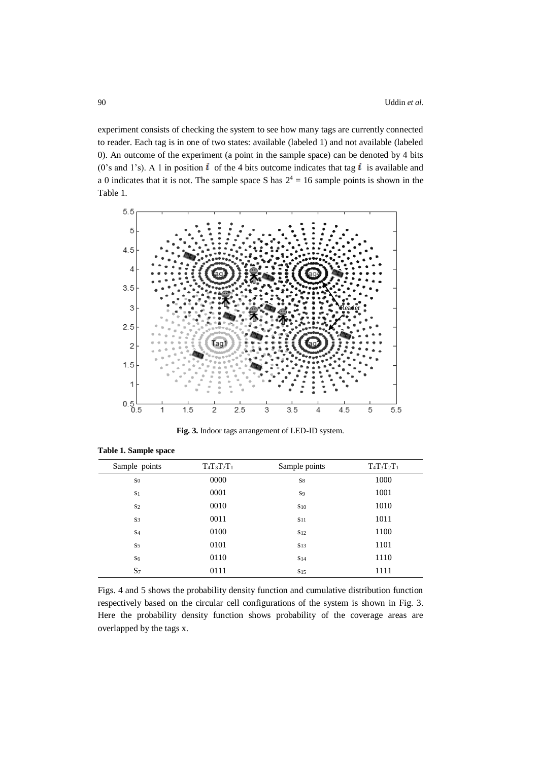experiment consists of checking the system to see how many tags are currently connected to reader. Each tag is in one of two states: available (labeled 1) and not available (labeled 0). An outcome of the experiment (a point in the sample space) can be denoted by 4 bits (0's and 1's). A 1 in position  $\vec{l}$  of the 4 bits outcome indicates that tag  $\vec{l}$  is available and a 0 indicates that it is not. The sample space S has  $2^4 = 16$  sample points is shown in the Table 1.



**Fig. 3.** Indoor tags arrangement of LED-ID system.

| Sample points  | $T_4T_3T_2T_1$ | Sample points   | $T_4T_3T_2T_1$ |
|----------------|----------------|-----------------|----------------|
| S <sub>0</sub> | 0000           | S8              | 1000           |
| S <sub>1</sub> | 0001           | <b>S</b> 9      | 1001           |
| S <sub>2</sub> | 0010           | $S_{10}$        | 1010           |
| S <sub>3</sub> | 0011           | S <sub>11</sub> | 1011           |
| S <sub>4</sub> | 0100           | S <sub>12</sub> | 1100           |
| S <sub>5</sub> | 0101           | S <sub>13</sub> | 1101           |
| S <sub>6</sub> | 0110           | S <sub>14</sub> | 1110           |
| $S_7$          | 0111           | S <sub>15</sub> | 1111           |

**Table 1. Sample space**

Figs. 4 and 5 shows the probability density function and cumulative distribution function respectively based on the circular cell configurations of the system is shown in Fig. 3. Here the probability density function shows probability of the coverage areas are overlapped by the tags x.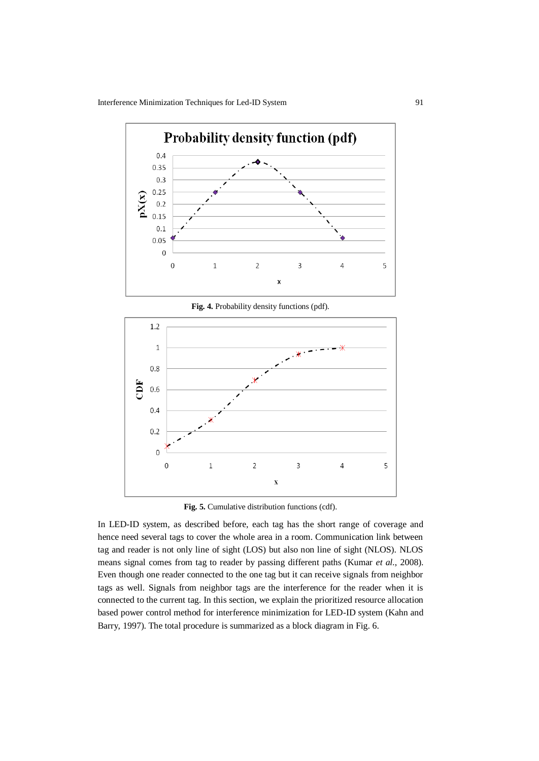

**Fig. 4.** Probability density functions (pdf).



**Fig. 5.** Cumulative distribution functions (cdf).

In LED-ID system, as described before, each tag has the short range of coverage and hence need several tags to cover the whole area in a room. Communication link between tag and reader is not only line of sight (LOS) but also non line of sight (NLOS). NLOS means signal comes from tag to reader by passing different paths (Kumar *et al.*, 2008). Even though one reader connected to the one tag but it can receive signals from neighbor tags as well. Signals from neighbor tags are the interference for the reader when it is connected to the current tag. In this section, we explain the prioritized resource allocation based power control method for interference minimization for LED-ID system (Kahn and Barry, 1997). The total procedure is summarized as a block diagram in Fig. 6.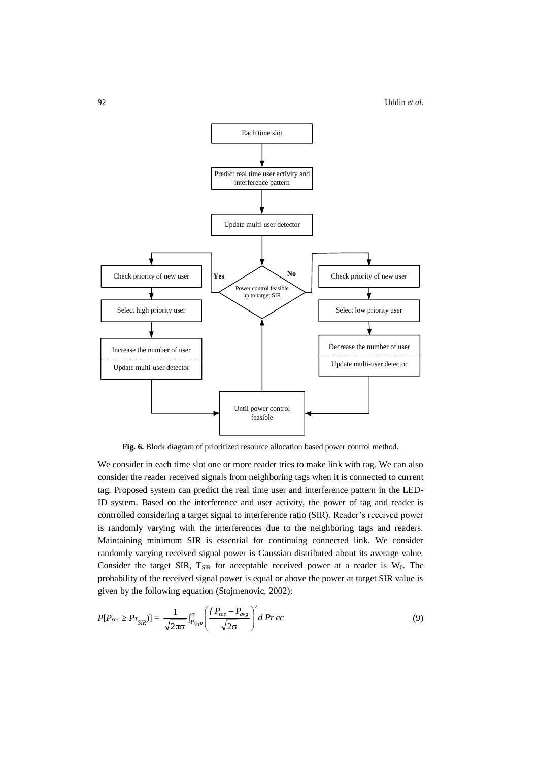

**Fig. 6.** Block diagram of prioritized resource allocation based power control method.

We consider in each time slot one or more reader tries to make link with tag. We can also consider the reader received signals from neighboring tags when it is connected to current tag. Proposed system can predict the real time user and interference pattern in the LED-ID system. Based on the interference and user activity, the power of tag and reader is controlled considering a target signal to interference ratio (SIR). Reader's received power is randomly varying with the interferences due to the neighboring tags and readers. Maintaining minimum SIR is essential for continuing connected link. We consider randomly varying received signal power is Gaussian distributed about its average value. Consider the target SIR,  $T_{\text{SIR}}$  for acceptable received power at a reader is W<sub>0</sub>. The probability of the received signal power is equal or above the power at target SIR value is given by the following equation (Stojmenovic, 2002):

$$
P[P_{rec} \ge P_{T_{SIR}}] = \frac{1}{\sqrt{2\pi\sigma}} \int_{P_{T_{SIR}}}^{\infty} \left(\frac{P_{rec} - P_{avg}}{\sqrt{2\sigma}}\right)^2 d\,Pr\,ec\tag{9}
$$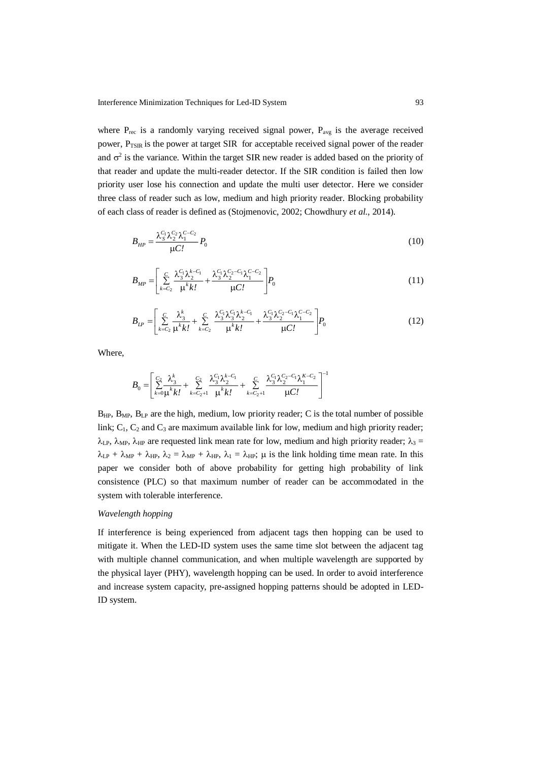where  $P_{\text{rec}}$  is a randomly varying received signal power,  $P_{\text{avg}}$  is the average received power, P<sub>TSIR</sub> is the power at target SIR for acceptable received signal power of the reader and  $\sigma^2$  is the variance. Within the target SIR new reader is added based on the priority of that reader and update the multi-reader detector. If the SIR condition is failed then low priority user lose his connection and update the multi user detector. Here we consider three class of reader such as low, medium and high priority reader. Blocking probability of each class of reader is defined as (Stojmenovic, 2002; Chowdhury *et al.*, 2014).

$$
B_{HP} = \frac{\lambda_S^C \lambda_2^C \lambda_1^{C_2} \lambda_1^{C_1 - C_2}}{\mu C'} P_0
$$
\n(10)

$$
B_{MP} = \left[ \sum_{k=C_2}^{C} \frac{\lambda_3^{C_1} \lambda_2^{k-C_1}}{\mu^k k!} + \frac{\lambda_3^{C_1} \lambda_2^{C_2-C_1} \lambda_1^{C-C_2}}{\mu C!} \right] P_0
$$
 (11)

$$
B_{LP} = \left[ \sum_{k=C_2}^{C} \frac{\lambda_3^k}{\mu^k k!} + \sum_{k=C_2}^{C} \frac{\lambda_3^C \lambda_3^C \lambda_2^{k-C_1}}{\mu^k k!} + \frac{\lambda_3^C \lambda_2^{C_2-C_1} \lambda_1^{C-C_2}}{\mu C!} \right] P_0
$$
 (12)

Where,

$$
B_0 = \left[ \sum_{k=0}^{C_2} \frac{\lambda_3^k}{\mu^k k!} + \sum_{k=C_2+1}^{C_2} \frac{\lambda_3^{C_1} \lambda_2^{k-C_1}}{\mu^k k!} + \sum_{k=C_2+1}^{C_2} \frac{\lambda_3^{C_1} \lambda_2^{C_2-C_1} \lambda_1^{k-C_2}}{\mu C!} \right]^{-1}
$$

 $B_{HP}$ ,  $B_{MP}$ ,  $B_{LP}$  are the high, medium, low priority reader; C is the total number of possible link;  $C_1$ ,  $C_2$  and  $C_3$  are maximum available link for low, medium and high priority reader;  $\lambda_{\text{LP}}$ ,  $\lambda_{\text{MP}}$ ,  $\lambda_{\text{HP}}$  are requested link mean rate for low, medium and high priority reader;  $\lambda_3 =$  $\lambda_{\text{LP}} + \lambda_{\text{MP}} + \lambda_{\text{HP}}$ ,  $\lambda_2 = \lambda_{\text{MP}} + \lambda_{\text{HP}}$ ,  $\lambda_1 = \lambda_{\text{HP}}$ ;  $\mu$  is the link holding time mean rate. In this paper we consider both of above probability for getting high probability of link consistence (PLC) so that maximum number of reader can be accommodated in the system with tolerable interference.

### *Wavelength hopping*

If interference is being experienced from adjacent tags then hopping can be used to mitigate it. When the LED-ID system uses the same time slot between the adjacent tag with multiple channel communication, and when multiple wavelength are supported by the physical layer (PHY), wavelength hopping can be used. In order to avoid interference and increase system capacity, pre-assigned hopping patterns should be adopted in LED-ID system.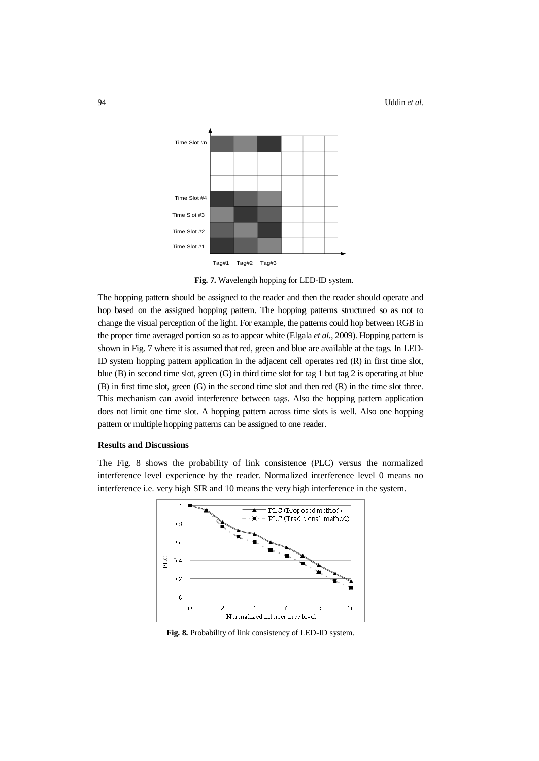

**Fig. 7.** Wavelength hopping for LED-ID system.

The hopping pattern should be assigned to the reader and then the reader should operate and hop based on the assigned hopping pattern. The hopping patterns structured so as not to change the visual perception of the light. For example, the patterns could hop between RGB in the proper time averaged portion so as to appear white (Elgala *et al.*, 2009). Hopping pattern is shown in Fig. 7 where it is assumed that red, green and blue are available at the tags. In LED-ID system hopping pattern application in the adjacent cell operates red (R) in first time slot, blue (B) in second time slot, green (G) in third time slot for tag 1 but tag 2 is operating at blue (B) in first time slot, green (G) in the second time slot and then red (R) in the time slot three. This mechanism can avoid interference between tags. Also the hopping pattern application does not limit one time slot. A hopping pattern across time slots is well. Also one hopping pattern or multiple hopping patterns can be assigned to one reader.

#### **Results and Discussions**

The Fig. 8 shows the probability of link consistence (PLC) versus the normalized interference level experience by the reader. Normalized interference level 0 means no interference i.e. very high SIR and 10 means the very high interference in the system.



**Fig. 8.** Probability of link consistency of LED-ID system.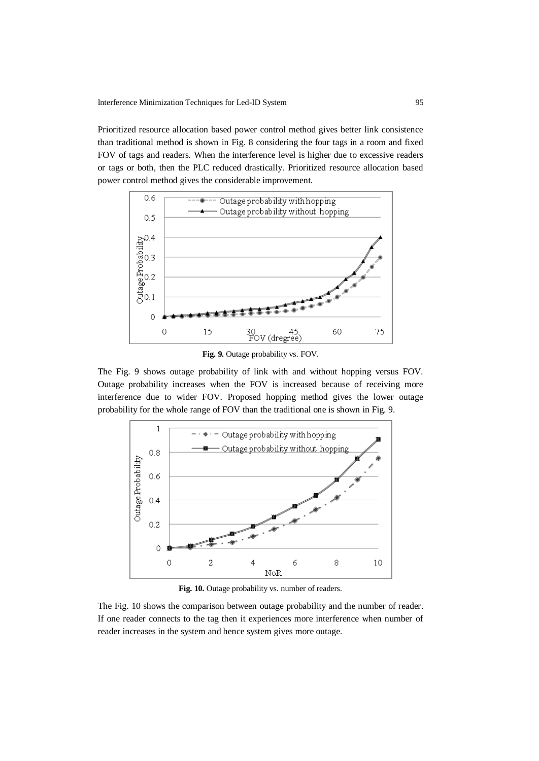Prioritized resource allocation based power control method gives better link consistence than traditional method is shown in Fig. 8 considering the four tags in a room and fixed FOV of tags and readers. When the interference level is higher due to excessive readers or tags or both, then the PLC reduced drastically. Prioritized resource allocation based power control method gives the considerable improvement.



**Fig. 9.** Outage probability vs. FOV.

The Fig. 9 shows outage probability of link with and without hopping versus FOV. Outage probability increases when the FOV is increased because of receiving more interference due to wider FOV. Proposed hopping method gives the lower outage probability for the whole range of FOV than the traditional one is shown in Fig. 9.



**Fig. 10.** Outage probability vs. number of readers.

The Fig. 10 shows the comparison between outage probability and the number of reader. If one reader connects to the tag then it experiences more interference when number of reader increases in the system and hence system gives more outage.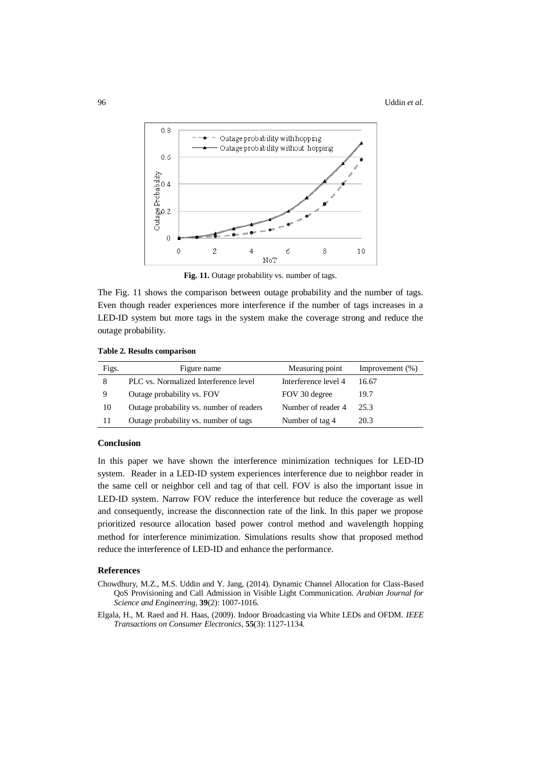

Fig. 11. Outage probability vs. number of tags.

The Fig. 11 shows the comparison between outage probability and the number of tags. Even though reader experiences more interference if the number of tags increases in a LED-ID system but more tags in the system make the coverage strong and reduce the outage probability.

|  |  |  | Table 2. Results comparison |
|--|--|--|-----------------------------|
|--|--|--|-----------------------------|

| Figs. | Figure name                              | Measuring point      | Improvement $(\%)$ |
|-------|------------------------------------------|----------------------|--------------------|
| 8     | PLC vs. Normalized Interference level    | Interference level 4 | 16.67              |
| 9     | Outage probability vs. FOV               | FOV 30 degree        | 19.7               |
| 10    | Outage probability vs. number of readers | Number of reader 4   | 25.3               |
| 11    | Outage probability vs. number of tags    | Number of tag 4      | 20.3               |

### **Conclusion**

In this paper we have shown the interference minimization techniques for LED-ID system. Reader in a LED-ID system experiences interference due to neighbor reader in the same cell or neighbor cell and tag of that cell. FOV is also the important issue in LED-ID system. Narrow FOV reduce the interference but reduce the coverage as well and consequently, increase the disconnection rate of the link. In this paper we propose prioritized resource allocation based power control method and wavelength hopping method for interference minimization. Simulations results show that proposed method reduce the interference of LED-ID and enhance the performance.

## **References**

- Chowdhury, M.Z., M.S. Uddin and Y. Jang, (2014). Dynamic Channel Allocation for Class-Based QoS Provisioning and Call Admission in Visible Light Communication. *[Arabian Journal for](http://link.springer.com/journal/13369)  [Science and Engineering,](http://link.springer.com/journal/13369)* **39**(2): 1007-1016.
- Elgala, H., M. Raed and H. Haas, (2009). Indoor Broadcasting via White LEDs and OFDM. *IEEE Transactions on Consumer Electronics*, **55**(3): 1127-1134.